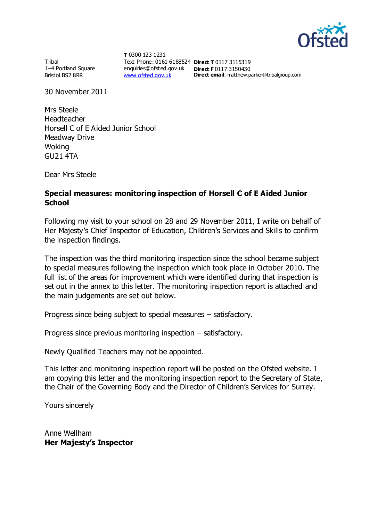

Tribal 1–4 Portland Square Bristol BS2 8RR

**T** 0300 123 1231 Text Phone: 0161 6188524 **Direct T** 0117 3115319 enquiries@ofsted.gov.uk **Direct F** 0117 3150430 [www.ofsted.gov.uk](http://www.ofsted.gov.uk/)

**Direct email**: matthew.parker@tribalgroup.com

30 November 2011

Mrs Steele Headteacher Horsell C of E Aided Junior School Meadway Drive Woking GU21 4TA

Dear Mrs Steele

#### **Special measures: monitoring inspection of Horsell C of E Aided Junior School**

Following my visit to your school on 28 and 29 November 2011, I write on behalf of Her Majesty's Chief Inspector of Education, Children's Services and Skills to confirm the inspection findings.

The inspection was the third monitoring inspection since the school became subject to special measures following the inspection which took place in October 2010. The full list of the areas for improvement which were identified during that inspection is set out in the annex to this letter. The monitoring inspection report is attached and the main judgements are set out below.

Progress since being subject to special measures – satisfactory.

Progress since previous monitoring inspection – satisfactory.

Newly Qualified Teachers may not be appointed.

This letter and monitoring inspection report will be posted on the Ofsted website. I am copying this letter and the monitoring inspection report to the Secretary of State, the Chair of the Governing Body and the Director of Children's Services for Surrey.

Yours sincerely

Anne Wellham **Her Majesty's Inspector**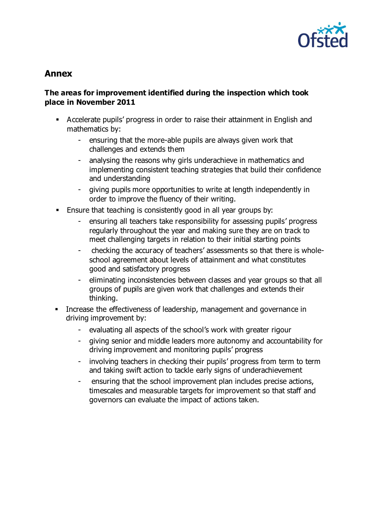

# **Annex**

## **The areas for improvement identified during the inspection which took place in November 2011**

- Accelerate pupils' progress in order to raise their attainment in English and mathematics by:
	- ensuring that the more-able pupils are always given work that challenges and extends them
	- analysing the reasons why girls underachieve in mathematics and implementing consistent teaching strategies that build their confidence and understanding
	- giving pupils more opportunities to write at length independently in order to improve the fluency of their writing.
- Ensure that teaching is consistently good in all year groups by:
	- ensuring all teachers take responsibility for assessing pupils' progress regularly throughout the year and making sure they are on track to meet challenging targets in relation to their initial starting points
	- checking the accuracy of teachers' assessments so that there is wholeschool agreement about levels of attainment and what constitutes good and satisfactory progress
	- eliminating inconsistencies between classes and year groups so that all groups of pupils are given work that challenges and extends their thinking.
- **Increase the effectiveness of leadership, management and governance in** driving improvement by:
	- evaluating all aspects of the school's work with greater rigour
	- giving senior and middle leaders more autonomy and accountability for driving improvement and monitoring pupils' progress
	- involving teachers in checking their pupils' progress from term to term and taking swift action to tackle early signs of underachievement
	- ensuring that the school improvement plan includes precise actions, timescales and measurable targets for improvement so that staff and governors can evaluate the impact of actions taken.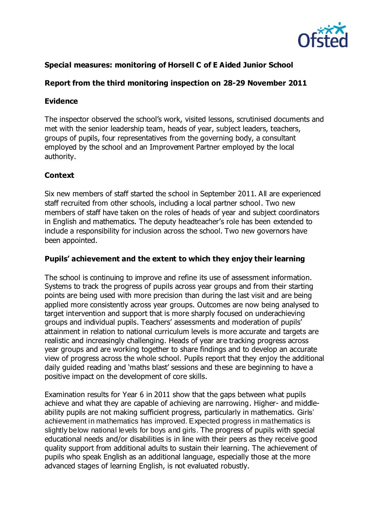

# **Special measures: monitoring of Horsell C of E Aided Junior School**

# **Report from the third monitoring inspection on 28-29 November 2011**

## **Evidence**

The inspector observed the school's work, visited lessons, scrutinised documents and met with the senior leadership team, heads of year, subject leaders, teachers, groups of pupils, four representatives from the governing body, a consultant employed by the school and an Improvement Partner employed by the local authority.

## **Context**

Six new members of staff started the school in September 2011. All are experienced staff recruited from other schools, including a local partner school. Two new members of staff have taken on the roles of heads of year and subject coordinators in English and mathematics. The deputy headteacher's role has been extended to include a responsibility for inclusion across the school. Two new governors have been appointed.

## **Pupils' achievement and the extent to which they enjoy their learning**

The school is continuing to improve and refine its use of assessment information. Systems to track the progress of pupils across year groups and from their starting points are being used with more precision than during the last visit and are being applied more consistently across year groups. Outcomes are now being analysed to target intervention and support that is more sharply focused on underachieving groups and individual pupils. Teachers' assessments and moderation of pupils' attainment in relation to national curriculum levels is more accurate and targets are realistic and increasingly challenging. Heads of year are tracking progress across year groups and are working together to share findings and to develop an accurate view of progress across the whole school. Pupils report that they enjoy the additional daily guided reading and 'maths blast' sessions and these are beginning to have a positive impact on the development of core skills.

Examination results for Year 6 in 2011 show that the gaps between what pupils achieve and what they are capable of achieving are narrowing. Higher- and middleability pupils are not making sufficient progress, particularly in mathematics. Girls' achievement in mathematics has improved. Expected progress in mathematics is slightly below national levels for boys and girls. The progress of pupils with special educational needs and/or disabilities is in line with their peers as they receive good quality support from additional adults to sustain their learning. The achievement of pupils who speak English as an additional language, especially those at the more advanced stages of learning English, is not evaluated robustly.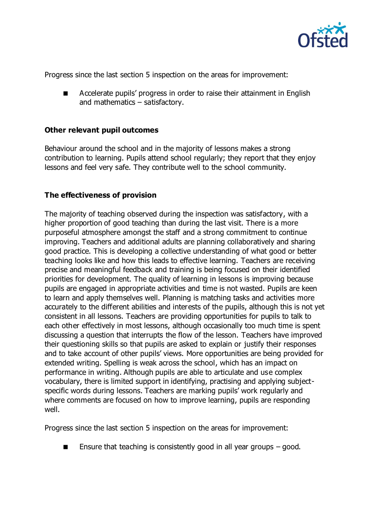

Progress since the last section 5 inspection on the areas for improvement:

 Accelerate pupils' progress in order to raise their attainment in English and mathematics – satisfactory.

#### **Other relevant pupil outcomes**

Behaviour around the school and in the majority of lessons makes a strong contribution to learning. Pupils attend school regularly; they report that they enjoy lessons and feel very safe. They contribute well to the school community.

#### **The effectiveness of provision**

The majority of teaching observed during the inspection was satisfactory, with a higher proportion of good teaching than during the last visit. There is a more purposeful atmosphere amongst the staff and a strong commitment to continue improving. Teachers and additional adults are planning collaboratively and sharing good practice. This is developing a collective understanding of what good or better teaching looks like and how this leads to effective learning. Teachers are receiving precise and meaningful feedback and training is being focused on their identified priorities for development. The quality of learning in lessons is improving because pupils are engaged in appropriate activities and time is not wasted. Pupils are keen to learn and apply themselves well. Planning is matching tasks and activities more accurately to the different abilities and interests of the pupils, although this is not yet consistent in all lessons. Teachers are providing opportunities for pupils to talk to each other effectively in most lessons, although occasionally too much time is spent discussing a question that interrupts the flow of the lesson. Teachers have improved their questioning skills so that pupils are asked to explain or justify their responses and to take account of other pupils' views. More opportunities are being provided for extended writing. Spelling is weak across the school, which has an impact on performance in writing. Although pupils are able to articulate and use complex vocabulary, there is limited support in identifying, practising and applying subjectspecific words during lessons. Teachers are marking pupils' work regularly and where comments are focused on how to improve learning, pupils are responding well.

Progress since the last section 5 inspection on the areas for improvement:

Ensure that teaching is consistently good in all year groups – good.